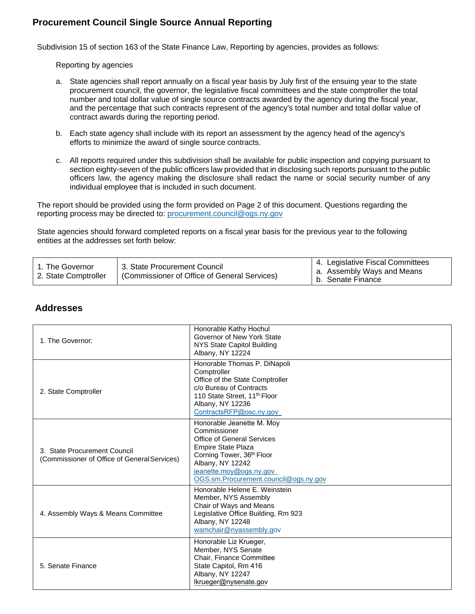## **Procurement Council Single Source Annual Reporting**

Subdivision 15 of section 163 of the State Finance Law, Reporting by agencies, provides as follows:

Reporting by agencies

- a. State agencies shall report annually on a fiscal year basis by July first of the ensuing year to the state procurement council, the governor, the legislative fiscal committees and the state comptroller the total number and total dollar value of single source contracts awarded by the agency during the fiscal year, and the percentage that such contracts represent of the agency's total number and total dollar value of contract awards during the reporting period.
- b. Each state agency shall include with its report an assessment by the agency head of the agency's efforts to minimize the award of single source contracts.
- c. All reports required under this subdivision shall be available for public inspection and copying pursuant to section eighty-seven of the public officers law provided that in disclosing such reports pursuant to the public officers law, the agency making the disclosure shall redact the name or social security number of any individual employee that is included in such document.

The report should be provided using the form provided on Page 2 of this document. Questions regarding the reporting process may be directed to: procurement.council@ogs.ny.gov

State agencies should forward completed reports on a fiscal year basis for the previous year to the following entities at the addresses set forth below:

| 1. The Governor<br>2. State Comptroller | 3. State Procurement Council<br>(Commissioner of Office of General Services) | 4. Legislative Fiscal Committees<br>a. Assembly Ways and Means<br>b. Senate Finance |
|-----------------------------------------|------------------------------------------------------------------------------|-------------------------------------------------------------------------------------|
|-----------------------------------------|------------------------------------------------------------------------------|-------------------------------------------------------------------------------------|

#### **Addresses**

| 1. The Governor:                                                             | Honorable Kathy Hochul<br>Governor of New York State<br>NYS State Capitol Building<br>Albany, NY 12224                                                                                                                                |
|------------------------------------------------------------------------------|---------------------------------------------------------------------------------------------------------------------------------------------------------------------------------------------------------------------------------------|
| 2. State Comptroller                                                         | Honorable Thomas P. DiNapoli<br>Comptroller<br>Office of the State Comptroller<br>c/o Bureau of Contracts<br>110 State Street, 11 <sup>th</sup> Floor<br>Albany, NY 12236<br>ContractsRFP@osc.ny.gov                                  |
| 3. State Procurement Council<br>(Commissioner of Office of General Services) | Honorable Jeanette M. Moy<br>Commissioner<br>Office of General Services<br><b>Empire State Plaza</b><br>Corning Tower, 36 <sup>th</sup> Floor<br>Albany, NY 12242<br>jeanette.moy@ogs.ny.gov<br>OGS.sm.Procurement.council@ogs.ny.gov |
| 4. Assembly Ways & Means Committee                                           | Honorable Helene E. Weinstein<br>Member, NYS Assembly<br>Chair of Ways and Means<br>Legislative Office Building, Rm 923<br>Albany, NY 12248<br>wamchair@nyassembly.gov                                                                |
| 5. Senate Finance                                                            | Honorable Liz Krueger,<br>Member, NYS Senate<br>Chair, Finance Committee<br>State Capitol, Rm 416<br>Albany, NY 12247<br>lkrueger@nysenate.gov                                                                                        |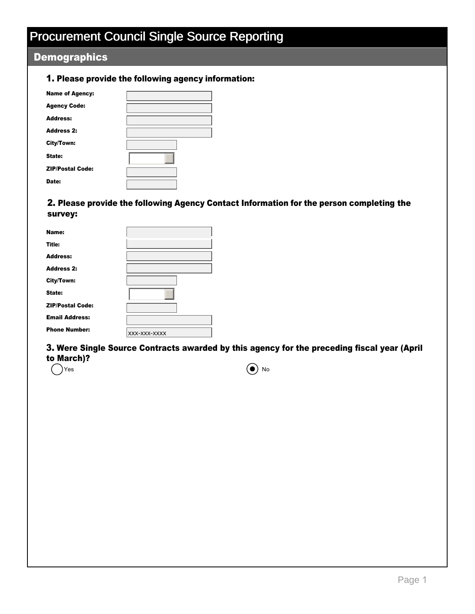# Procurement Council Single Source Reporting

# **Demographics**

### 1. Please provide the following agency information:

| <b>Name of Agency:</b>  |  |
|-------------------------|--|
|                         |  |
| <b>Agency Code:</b>     |  |
| <b>Address:</b>         |  |
| <b>Address 2:</b>       |  |
| City/Town:              |  |
| State:                  |  |
| <b>ZIP/Postal Code:</b> |  |
| Date:                   |  |

### 2. Please provide the following Agency Contact Information for the person completing the survey:

| Name:                   |              |
|-------------------------|--------------|
| Title:                  |              |
| <b>Address:</b>         |              |
| <b>Address 2:</b>       |              |
| City/Town:              |              |
| State:                  |              |
| <b>ZIP/Postal Code:</b> |              |
| <b>Email Address:</b>   |              |
| <b>Phone Number:</b>    | XXX-XXX-XXXX |

3. Were Single Source Contracts awarded by this agency for the preceding fiscal year (April to March)?